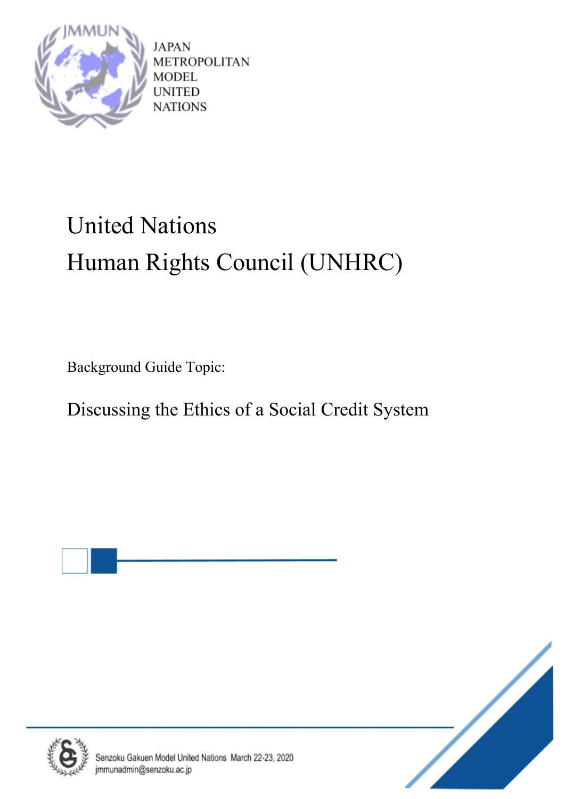

JAPAN **METROPOLITAN** MODEL **UNITED NATIONS** 

# United Nations Human Rights Council (UNHRC)

Background Guide Topic:

Discussing the Ethics of a Social Credit System





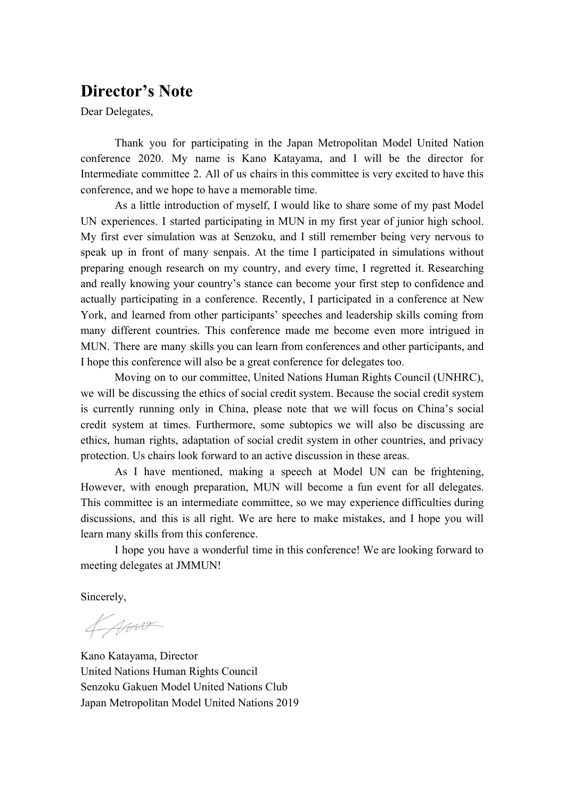### **Director's Note**

Dear Delegates,

Thank you for participating in the Japan Metropolitan Model United Nation conference 2020. My name is Kano Katayama, and I will be the director for Intermediate committee 2. All of us chairs in this committee is very excited to have this conference, and we hope to have a memorable time.

As a little introduction of myself, I would like to share some of my past Model UN experiences. I started participating in MUN in my first year of junior high school. My first ever simulation was at Senzoku, and I still remember being very nervous to speak up in front of many senpais. At the time I participated in simulations without preparing enough research on my country, and every time, I regretted it. Researching and really knowing your country's stance can become your first step to confidence and actually participating in a conference. Recently, I participated in a conference at New York, and learned from other participants' speeches and leadership skills coming from many different countries. This conference made me become even more intrigued in MUN. There are many skills you can learn from conferences and other participants, and I hope this conference will also be a great conference for delegates too.

Moving on to our committee, United Nations Human Rights Council (UNHRC), we will be discussing the ethics of social credit system. Because the social credit system is currently running only in China, please note that we will focus on China's social credit system at times. Furthermore, some subtopics we will also be discussing are ethics, human rights, adaptation of social credit system in other countries, and privacy protection. Us chairs look forward to an active discussion in these areas.

As I have mentioned, making a speech at Model UN can be frightening, However, with enough preparation, MUN will become a fun event for all delegates. This committee is an intermediate committee, so we may experience difficulties during discussions, and this is all right. We are here to make mistakes, and I hope you will learn many skills from this conference.

I hope you have a wonderful time in this conference! We are looking forward to meeting delegates at JMMUN!

Sincerely,

fam

Kano Katayama, Director United Nations Human Rights Council Senzoku Gakuen Model United Nations Club Japan Metropolitan Model United Nations 2019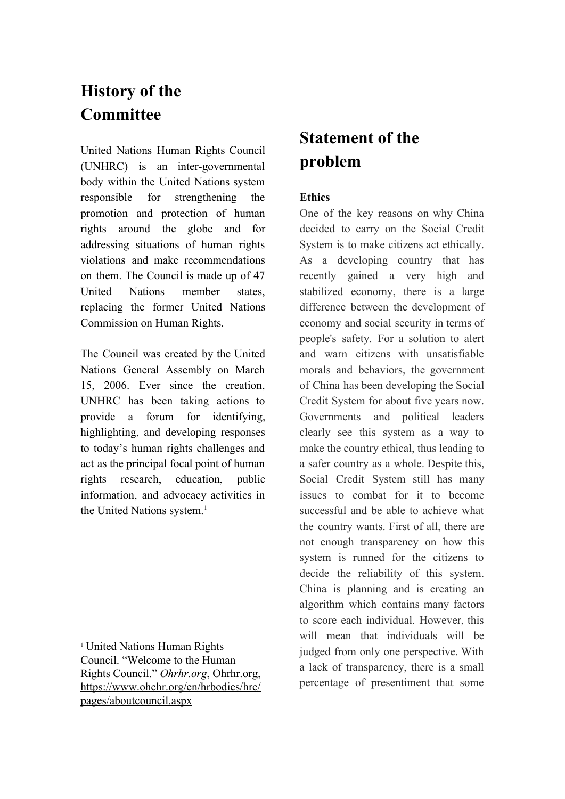# **History of the Committee**

United Nations Human Rights Council (UNHRC) is an inter-governmental body within the United Nations system responsible for strengthening the promotion and protection of human rights around the globe and for addressing situations of human rights violations and make recommendations on them. The Council is made up of 47 United Nations member states, replacing the former United Nations Commission on Human Rights.

The Council was created by the United Nations General Assembly on March 15, 2006. Ever since the creation, UNHRC has been taking actions to provide a forum for identifying, highlighting, and developing responses to today's human rights challenges and act as the principal focal point of human rights research, education, public information, and advocacy activities in the United Nations system.<sup>1</sup>

# **Statement of the problem**

#### **Ethics**

One of the key reasons on why China decided to carry on the Social Credit System is to make citizens act ethically. As a developing country that has recently gained a very high and stabilized economy, there is a large difference between the development of economy and social security in terms of people's safety. For a solution to alert and warn citizens with unsatisfiable morals and behaviors, the government of China has been developing the Social Credit System for about five years now. Governments and political leaders clearly see this system as a way to make the country ethical, thus leading to a safer country as a whole. Despite this, Social Credit System still has many issues to combat for it to become successful and be able to achieve what the country wants. First of all, there are not enough transparency on how this system is runned for the citizens to decide the reliability of this system. China is planning and is creating an algorithm which contains many factors to score each individual. However, this will mean that individuals will be judged from only one perspective. With a lack of transparency, there is a small percentage of presentiment that some

<sup>1</sup> United Nations Human Rights Council. "Welcome to the Human Rights Council." *Ohrhr.org*, Ohrhr.org, [https://www.ohchr.org/en/hrbodies/hrc/](https://www.ohchr.org/en/hrbodies/hrc/pages/aboutcouncil.aspx) [pages/aboutcouncil.aspx](https://www.ohchr.org/en/hrbodies/hrc/pages/aboutcouncil.aspx)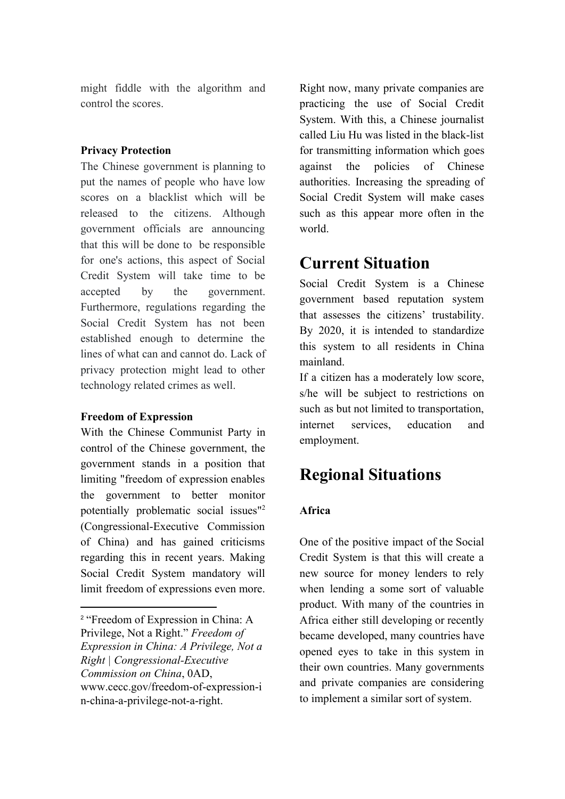might fiddle with the algorithm and control the scores.

#### **Privacy Protection**

The Chinese government is planning to put the names of people who have low scores on a blacklist which will be released to the citizens. Although government officials are announcing that this will be done to be responsible for one's actions, this aspect of Social Credit System will take time to be accepted by the government. Furthermore, regulations regarding the Social Credit System has not been established enough to determine the lines of what can and cannot do. Lack of privacy protection might lead to other technology related crimes as well.

#### **Freedom of Expression**

With the Chinese Communist Party in control of the Chinese government, the government stands in a position that limiting "freedom of expression enables the government to better monitor potentially problematic social issues"<sup>2</sup> (Congressional-Executive Commission of China) and has gained criticisms regarding this in recent years. Making Social Credit System mandatory will limit freedom of expressions even more.

Right now, many private companies are practicing the use of Social Credit System. With this, a Chinese journalist called Liu Hu was listed in the black-list for transmitting information which goes against the policies of Chinese authorities. Increasing the spreading of Social Credit System will make cases such as this appear more often in the world.

### **Current Situation**

Social Credit System is a Chinese government based reputation system that assesses the citizens' trustability. By 2020, it is intended to standardize this system to all residents in China mainland.

If a citizen has a moderately low score, s/he will be subject to restrictions on such as but not limited to transportation, internet services, education and employment.

# **Regional Situations**

#### **Africa**

One of the positive impact of the Social Credit System is that this will create a new source for money lenders to rely when lending a some sort of valuable product. With many of the countries in Africa either still developing or recently became developed, many countries have opened eyes to take in this system in their own countries. Many governments and private companies are considering to implement a similar sort of system.

<sup>2</sup> "Freedom of Expression in China: A Privilege, Not a Right." *Freedom of Expression in China: A Privilege, Not a Right | Congressional-Executive Commission on China*, 0AD, www.cecc.gov/freedom-of-expression-i n-china-a-privilege-not-a-right.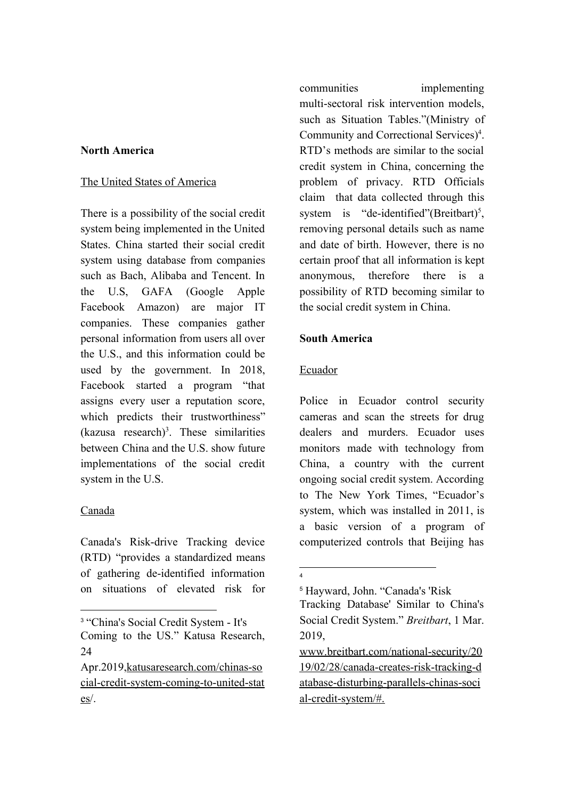#### **North America**

#### The United States of America

There is a possibility of the social credit system being implemented in the United States. China started their social credit system using database from companies such as Bach, Alibaba and Tencent. In the U.S, GAFA (Google Apple Facebook Amazon) are major IT companies. These companies gather personal information from users all over the U.S., and this information could be used by the government. In 2018, Facebook started a program "that assigns every user a reputation score, which predicts their trustworthiness"  $(kazusa research)<sup>3</sup>$ . These similarities between China and the U.S. show future implementations of the social credit system in the U.S.

#### Canada

Canada's Risk-drive Tracking device (RTD) "provides a standardized means of gathering de-identified information on situations of elevated risk for communities implementing multi-sectoral risk intervention models, such as Situation Tables."(Ministry of Community and Correctional Services)<sup>4</sup>. RTD's methods are similar to the social credit system in China, concerning the problem of privacy. RTD Officials claim that data collected through this system is "de-identified" (Breitbart)<sup>5</sup>, removing personal details such as name and date of birth. However, there is no certain proof that all information is kept anonymous, therefore there is a possibility of RTD becoming similar to the social credit system in China.

#### **South America**

#### Ecuador

Police in Ecuador control security cameras and scan the streets for drug dealers and murders. Ecuador uses monitors made with technology from China, a country with the current ongoing social credit system. According to The New York Times, "Ecuador's system, which was installed in 2011, is a basic version of a program of computerized controls that Beijing has

<sup>3</sup> "China's Social Credit System - It's Coming to the US." Katusa Research, 24

Apr.2019,[katusaresearch.com/chinas-so](https://katusaresearch.com/chinas-social-credit-system-coming-to-united-states/) [cial-credit-system-coming-to-united-stat](https://katusaresearch.com/chinas-social-credit-system-coming-to-united-states/) [es](https://katusaresearch.com/chinas-social-credit-system-coming-to-united-states/)/.

<sup>4</sup>

<sup>5</sup> Hayward, John. "Canada's 'Risk

Tracking Database' Similar to China's Social Credit System." *Breitbart*, 1 Mar. 2019,

[www.breitbart.com/national-security/20](http://www.breitbart.com/national-security/2019/02/28/canada-creates-risk-tracking-database-disturbing-parallels-chinas-social-credit-system/#.) [19/02/28/canada-creates-risk-tracking-d](http://www.breitbart.com/national-security/2019/02/28/canada-creates-risk-tracking-database-disturbing-parallels-chinas-social-credit-system/#.) [atabase-disturbing-parallels-chinas-soci](http://www.breitbart.com/national-security/2019/02/28/canada-creates-risk-tracking-database-disturbing-parallels-chinas-social-credit-system/#.) [al-credit-system/#.](http://www.breitbart.com/national-security/2019/02/28/canada-creates-risk-tracking-database-disturbing-parallels-chinas-social-credit-system/#.)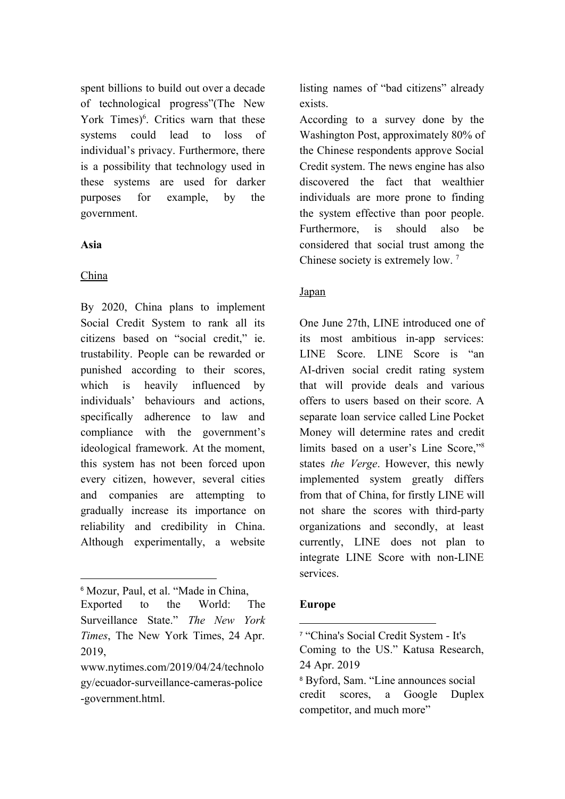spent billions to build out over a decade of technological progress"(The New York Times) $<sup>6</sup>$ . Critics warn that these</sup> systems could lead to loss of individual's privacy. Furthermore, there is a possibility that technology used in these systems are used for darker purposes for example, by the government.

#### **Asia**

#### China

By 2020, China plans to implement Social Credit System to rank all its citizens based on "social credit," ie. trustability. People can be rewarded or punished according to their scores, which is heavily influenced by individuals' behaviours and actions, specifically adherence to law and compliance with the government's ideological framework. At the moment, this system has not been forced upon every citizen, however, several cities and companies are attempting to gradually increase its importance on reliability and credibility in China. Although experimentally, a website

listing names of "bad citizens" already exists.

According to a survey done by the Washington Post, approximately 80% of the Chinese respondents approve Social Credit system. The news engine has also discovered the fact that wealthier individuals are more prone to finding the system effective than poor people. Furthermore, is should also be considered that social trust among the Chinese society is extremely low.<sup>7</sup>

#### Japan

One June 27th, LINE introduced one of its most ambitious in-app services: LINE Score. LINE Score is "an AI-driven social credit rating system that will provide deals and various offers to users based on their score. A separate loan service called Line Pocket Money will determine rates and credit limits based on a user's Line Score,"<sup>8</sup> states *the Verge*. However, this newly implemented system greatly differs from that of China, for firstly LINE will not share the scores with third-party organizations and secondly, at least currently, LINE does not plan to integrate LINE Score with non-LINE services.

#### **Europe**

<sup>6</sup> Mozur, Paul, et al. "Made in China,

Exported to the World: The Surveillance State." *The New York Times*, The New York Times, 24 Apr. 2019,

[www.nytimes.com/2019/04/24/technolo](http://www.nytimes.com/2019/04/24/technology/ecuador-surveillance-cameras-police-government.html.) [gy/ecuador-surveillance-cameras-police](http://www.nytimes.com/2019/04/24/technology/ecuador-surveillance-cameras-police-government.html.) [-government.html.](http://www.nytimes.com/2019/04/24/technology/ecuador-surveillance-cameras-police-government.html.)

<sup>7</sup> "China's Social Credit System - It's Coming to the US." Katusa Research, 24 Apr. 2019

<sup>8</sup> Byford, Sam. "Line announces social credit scores, a Google Duplex competitor, and much more"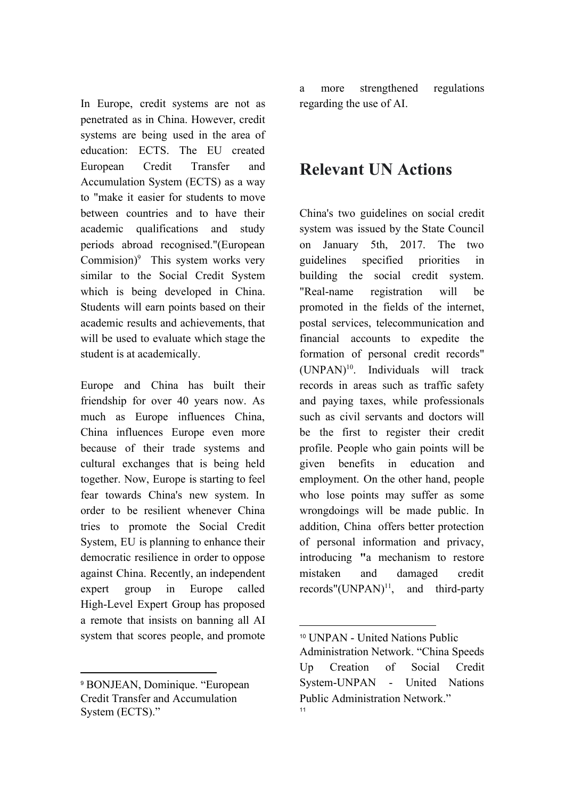In Europe, credit systems are not as penetrated as in China. However, credit systems are being used in the area of education: ECTS. The EU created European Credit Transfer and Accumulation System (ECTS) as a way to "make it easier for students to move between countries and to have their academic qualifications and study periods abroad recognised."(European Commision) $9$  This system works very similar to the Social Credit System which is being developed in China. Students will earn points based on their academic results and achievements, that will be used to evaluate which stage the student is at academically.

Europe and China has built their friendship for over 40 years now. As much as Europe influences China, China influences Europe even more because of their trade systems and cultural exchanges that is being held together. Now, Europe is starting to feel fear towards China's new system. In order to be resilient whenever China tries to promote the Social Credit System, EU is planning to enhance their democratic resilience in order to oppose against China. Recently, an independent expert group in Europe called High-Level Expert Group has proposed a remote that insists on banning all AI system that scores people, and promote

<sup>9</sup> BONJEAN, Dominique. "European Credit Transfer and Accumulation System (ECTS)."

a more strengthened regulations regarding the use of AI.

### **Relevant UN Actions**

China's two guidelines on social credit system was issued by the State Council on January 5th, 2017. The two guidelines specified priorities in building the social credit system. "Real-name registration will be promoted in the fields of the internet, postal services, telecommunication and financial accounts to expedite the formation of personal credit records"  $(UNPAN)<sup>10</sup>$ . Individuals will track records in areas such as traffic safety and paying taxes, while professionals such as civil servants and doctors will be the first to register their credit profile. People who gain points will be given benefits in education and employment. On the other hand, people who lose points may suffer as some wrongdoings will be made public. In addition, China offers better protection of personal information and privacy, introducing **"**a mechanism to restore mistaken and damaged credit records" $(UNPAN)^{11}$ , and third-party

<sup>10</sup> UNPAN - United Nations Public

Administration Network. "China Speeds Up Creation of Social Credit System-UNPAN - United Nations Public Administration Network." 11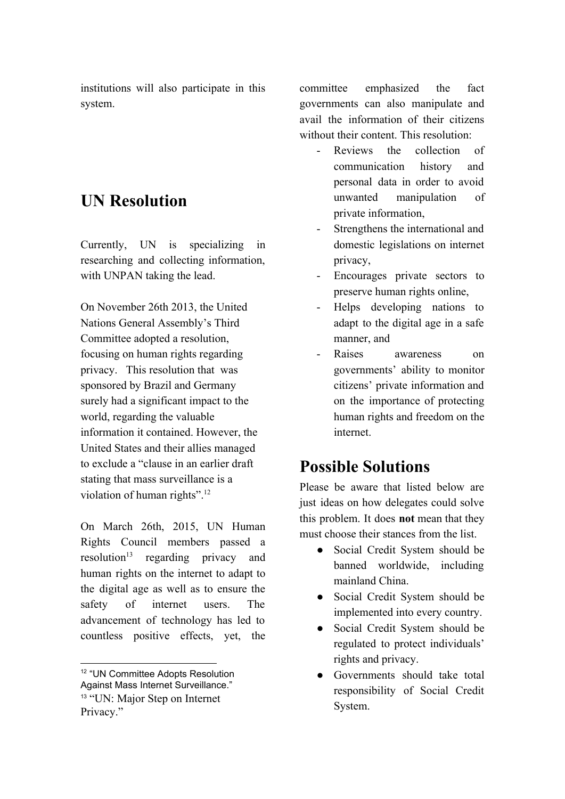institutions will also participate in this system.

# **UN Resolution**

Currently, UN is specializing in researching and collecting information, with UNPAN taking the lead.

On November 26th 2013, the United Nations General Assembly's Third Committee adopted a resolution, focusing on human rights regarding privacy. This resolution that was sponsored by Brazil and Germany surely had a significant impact to the world, regarding the valuable information it contained. However, the United States and their allies managed to exclude a "clause in an earlier draft stating that mass surveillance is a violation of human rights".<sup>12</sup>

On March 26th, 2015, UN Human Rights Council members passed a resolution<sup>13</sup> regarding privacy and human rights on the internet to adapt to the digital age as well as to ensure the safety of internet users. The advancement of technology has led to countless positive effects, yet, the committee emphasized the fact governments can also manipulate and avail the information of their citizens without their content. This resolution:

- Reviews the collection of communication history and personal data in order to avoid unwanted manipulation of private information,
- Strengthens the international and domestic legislations on internet privacy,
- Encourages private sectors to preserve human rights online,
- Helps developing nations to adapt to the digital age in a safe manner, and
- Raises awareness on governments' ability to monitor citizens' private information and on the importance of protecting human rights and freedom on the internet.

# **Possible Solutions**

Please be aware that listed below are just ideas on how delegates could solve this problem. It does **not** mean that they must choose their stances from the list.

- Social Credit System should be banned worldwide, including mainland China.
- Social Credit System should be implemented into every country.
- Social Credit System should be regulated to protect individuals' rights and privacy.
- Governments should take total responsibility of Social Credit System.

<sup>12</sup> "UN Committee Adopts Resolution Against Mass Internet Surveillance." <sup>13</sup> "UN: Major Step on Internet Privacy."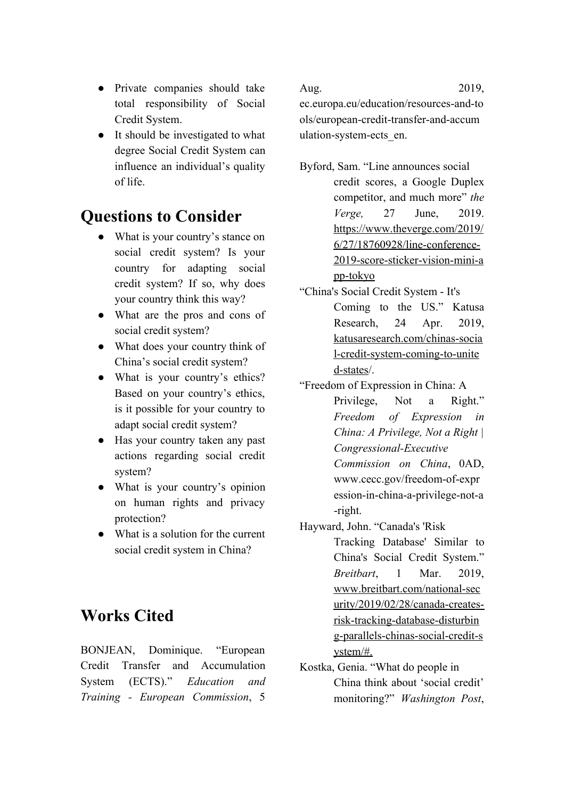- Private companies should take total responsibility of Social Credit System.
- It should be investigated to what degree Social Credit System can influence an individual's quality of life.

# **Questions to Consider**

- What is your country's stance on social credit system? Is your country for adapting social credit system? If so, why does your country think this way?
- What are the pros and cons of social credit system?
- What does your country think of China's social credit system?
- What is your country's ethics? Based on your country's ethics, is it possible for your country to adapt social credit system?
- Has your country taken any past actions regarding social credit system?
- What is your country's opinion on human rights and privacy protection?
- What is a solution for the current social credit system in China?

# **Works Cited**

BONJEAN, Dominique. "European Credit Transfer and Accumulation System (ECTS)." *Education and Training - European Commission*, 5

ec.europa.eu/education/resources-and-to ols/european-credit-transfer-and-accum ulation-system-ects\_en.

- Byford, Sam. "Line announces social credit scores, a Google Duplex competitor, and much more" *the Verge,* 27 June, 2019. [https://www.theverge.com/2019/](https://www.theverge.com/2019/6/27/18760928/line-conference-2019-score-sticker-vision-mini-app-tokyo) [6/27/18760928/line-conference-](https://www.theverge.com/2019/6/27/18760928/line-conference-2019-score-sticker-vision-mini-app-tokyo)[2019-score-sticker-vision-mini-a](https://www.theverge.com/2019/6/27/18760928/line-conference-2019-score-sticker-vision-mini-app-tokyo) [pp-tokyo](https://www.theverge.com/2019/6/27/18760928/line-conference-2019-score-sticker-vision-mini-app-tokyo)
- "China's Social Credit System It's Coming to the US." Katusa Research, 24 Apr. 2019, [katusaresearch.com/chinas-socia](https://katusaresearch.com/chinas-social-credit-system-coming-to-united-states/) [l-credit-system-coming-to-unite](https://katusaresearch.com/chinas-social-credit-system-coming-to-united-states/) [d-states/](https://katusaresearch.com/chinas-social-credit-system-coming-to-united-states/).

"Freedom of Expression in China: A Privilege, Not a Right." *Freedom of Expression in China: A Privilege, Not a Right | Congressional-Executive Commission on China*, 0AD, www.cecc.gov/freedom-of-expr ession-in-china-a-privilege-not-a -right.

Hayward, John. "Canada's 'Risk

Tracking Database' Similar to China's Social Credit System." *Breitbart*, 1 Mar. 2019, [www.breitbart.com/national-sec](http://www.breitbart.com/national-security/2019/02/28/canada-creates-risk-tracking-database-disturbing-parallels-chinas-social-credit-system/#.) [urity/2019/02/28/canada-creates](http://www.breitbart.com/national-security/2019/02/28/canada-creates-risk-tracking-database-disturbing-parallels-chinas-social-credit-system/#.)[risk-tracking-database-disturbin](http://www.breitbart.com/national-security/2019/02/28/canada-creates-risk-tracking-database-disturbing-parallels-chinas-social-credit-system/#.) [g-parallels-chinas-social-credit-s](http://www.breitbart.com/national-security/2019/02/28/canada-creates-risk-tracking-database-disturbing-parallels-chinas-social-credit-system/#.) [ystem/#.](http://www.breitbart.com/national-security/2019/02/28/canada-creates-risk-tracking-database-disturbing-parallels-chinas-social-credit-system/#.)

Kostka, Genia. "What do people in China think about 'social credit' monitoring?" *Washington Post*,

Aug. 2019,